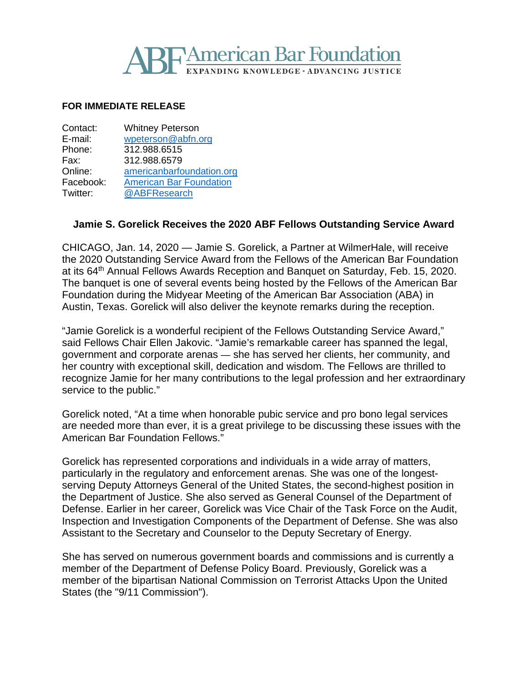# **TAmerican Bar Foundation IDING KNOWLEDGE • ADVANCING JUSTICE**

#### **FOR IMMEDIATE RELEASE**

| Contact:  | <b>Whitney Peterson</b>        |
|-----------|--------------------------------|
| E-mail:   | wpeterson@abfn.org             |
| Phone:    | 312.988.6515                   |
| Fax:      | 312.988.6579                   |
| Online:   | americanbarfoundation.org      |
| Facebook: | <b>American Bar Foundation</b> |
| Twitter:  | @ABFResearch                   |

### **Jamie S. Gorelick Receives the 2020 ABF Fellows Outstanding Service Award**

CHICAGO, Jan. 14, 2020 — Jamie S. Gorelick, a Partner at WilmerHale, will receive the 2020 Outstanding Service Award from the Fellows of the American Bar Foundation at its 64<sup>th</sup> Annual Fellows Awards Reception and Banquet on Saturday, Feb. 15, 2020. The banquet is one of several events being hosted by the Fellows of the American Bar Foundation during the Midyear Meeting of the American Bar Association (ABA) in Austin, Texas. Gorelick will also deliver the keynote remarks during the reception.

"Jamie Gorelick is a wonderful recipient of the Fellows Outstanding Service Award," said Fellows Chair Ellen Jakovic. "Jamie's remarkable career has spanned the legal, government and corporate arenas — she has served her clients, her community, and her country with exceptional skill, dedication and wisdom. The Fellows are thrilled to recognize Jamie for her many contributions to the legal profession and her extraordinary service to the public."

Gorelick noted, "At a time when honorable pubic service and pro bono legal services are needed more than ever, it is a great privilege to be discussing these issues with the American Bar Foundation Fellows."

Gorelick has represented corporations and individuals in a wide array of matters, particularly in the regulatory and enforcement arenas. She was one of the longestserving Deputy Attorneys General of the United States, the second-highest position in the Department of Justice. She also served as General Counsel of the Department of Defense. Earlier in her career, Gorelick was Vice Chair of the Task Force on the Audit, Inspection and Investigation Components of the Department of Defense. She was also Assistant to the Secretary and Counselor to the Deputy Secretary of Energy.

She has served on numerous government boards and commissions and is currently a member of the Department of Defense Policy Board. Previously, Gorelick was a member of the bipartisan National Commission on Terrorist Attacks Upon the United States (the "9/11 Commission").